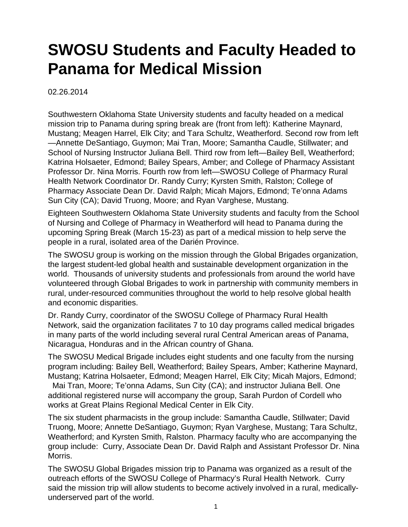## **SWOSU Students and Faculty Headed to Panama for Medical Mission**

02.26.2014

Southwestern Oklahoma State University students and faculty headed on a medical mission trip to Panama during spring break are (front from left): Katherine Maynard, Mustang; Meagen Harrel, Elk City; and Tara Schultz, Weatherford. Second row from left —Annette DeSantiago, Guymon; Mai Tran, Moore; Samantha Caudle, Stillwater; and School of Nursing Instructor Juliana Bell. Third row from left—Bailey Bell, Weatherford; Katrina Holsaeter, Edmond; Bailey Spears, Amber; and College of Pharmacy Assistant Professor Dr. Nina Morris. Fourth row from left—SWOSU College of Pharmacy Rural Health Network Coordinator Dr. Randy Curry; Kyrsten Smith, Ralston; College of Pharmacy Associate Dean Dr. David Ralph; Micah Majors, Edmond; Te'onna Adams Sun City (CA); David Truong, Moore; and Ryan Varghese, Mustang.

Eighteen Southwestern Oklahoma State University students and faculty from the School of Nursing and College of Pharmacy in Weatherford will head to Panama during the upcoming Spring Break (March 15-23) as part of a medical mission to help serve the people in a rural, isolated area of the Darién Province.

The SWOSU group is working on the mission through the Global Brigades organization, the largest student-led global health and sustainable development organization in the world. Thousands of university students and professionals from around the world have volunteered through Global Brigades to work in partnership with community members in rural, under-resourced communities throughout the world to help resolve global health and economic disparities.

Dr. Randy Curry, coordinator of the SWOSU College of Pharmacy Rural Health Network, said the organization facilitates 7 to 10 day programs called medical brigades in many parts of the world including several rural Central American areas of Panama, Nicaragua, Honduras and in the African country of Ghana.

The SWOSU Medical Brigade includes eight students and one faculty from the nursing program including: Bailey Bell, Weatherford; Bailey Spears, Amber; Katherine Maynard, Mustang; Katrina Holsaeter, Edmond; Meagen Harrel, Elk City; Micah Majors, Edmond; Mai Tran, Moore; Te'onna Adams, Sun City (CA); and instructor Juliana Bell. One additional registered nurse will accompany the group, Sarah Purdon of Cordell who works at Great Plains Regional Medical Center in Elk City.

The six student pharmacists in the group include: Samantha Caudle, Stillwater; David Truong, Moore; Annette DeSantiago, Guymon; Ryan Varghese, Mustang; Tara Schultz, Weatherford; and Kyrsten Smith, Ralston. Pharmacy faculty who are accompanying the group include: Curry, Associate Dean Dr. David Ralph and Assistant Professor Dr. Nina Morris.

The SWOSU Global Brigades mission trip to Panama was organized as a result of the outreach efforts of the SWOSU College of Pharmacy's Rural Health Network. Curry said the mission trip will allow students to become actively involved in a rural, medicallyunderserved part of the world.